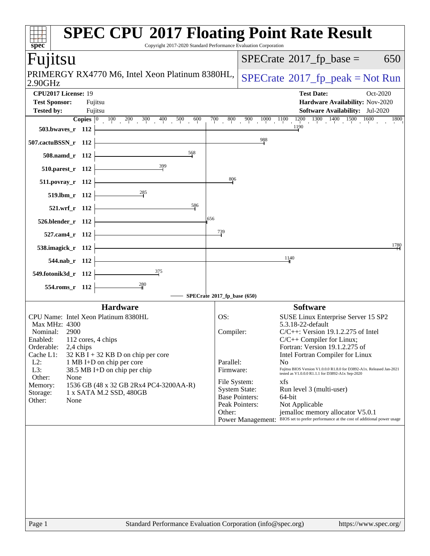| spec <sup>®</sup>                                                                                                                                                                                                                                                                                                                                                                                                         | <b>SPEC CPU®2017 Floating Point Rate Result</b><br>Copyright 2017-2020 Standard Performance Evaluation Corporation                                                                                                                                                                                                                                                                                                                                                                                                                                                                                                                                                                                                         |
|---------------------------------------------------------------------------------------------------------------------------------------------------------------------------------------------------------------------------------------------------------------------------------------------------------------------------------------------------------------------------------------------------------------------------|----------------------------------------------------------------------------------------------------------------------------------------------------------------------------------------------------------------------------------------------------------------------------------------------------------------------------------------------------------------------------------------------------------------------------------------------------------------------------------------------------------------------------------------------------------------------------------------------------------------------------------------------------------------------------------------------------------------------------|
| Fuµtsu                                                                                                                                                                                                                                                                                                                                                                                                                    | $SPECrate^{\circledast}2017$ _fp_base =<br>650                                                                                                                                                                                                                                                                                                                                                                                                                                                                                                                                                                                                                                                                             |
| PRIMERGY RX4770 M6, Intel Xeon Platinum 8380HL,<br>2.90GHz                                                                                                                                                                                                                                                                                                                                                                | $SPECrate^{\circ}2017$ _fp_peak = Not Run                                                                                                                                                                                                                                                                                                                                                                                                                                                                                                                                                                                                                                                                                  |
| CPU2017 License: 19<br><b>Test Sponsor:</b><br>Fujitsu<br><b>Tested by:</b><br>Fujitsu<br><b>Copies</b> $\begin{bmatrix} 0 & 100 & 200 & 300 & 400 \end{bmatrix}$ 500<br>600                                                                                                                                                                                                                                              | <b>Test Date:</b><br>Oct-2020<br>Hardware Availability: Nov-2020<br><b>Software Availability:</b> Jul-2020<br>$900 \overline{1000} \overline{1100} \overline{1100} \overline{1200} \overline{1300} \overline{1400} \overline{1500} \overline{1600}$<br>$700\,$<br>$\overline{800}$<br>1800                                                                                                                                                                                                                                                                                                                                                                                                                                 |
| 503.bwaves_r 112                                                                                                                                                                                                                                                                                                                                                                                                          | 1190                                                                                                                                                                                                                                                                                                                                                                                                                                                                                                                                                                                                                                                                                                                       |
| 507.cactuBSSN_r 112                                                                                                                                                                                                                                                                                                                                                                                                       | $\frac{988}{1}$                                                                                                                                                                                                                                                                                                                                                                                                                                                                                                                                                                                                                                                                                                            |
| 568<br>508.namd_r 112                                                                                                                                                                                                                                                                                                                                                                                                     |                                                                                                                                                                                                                                                                                                                                                                                                                                                                                                                                                                                                                                                                                                                            |
| 510.parest_r 112<br>511.povray_r 112                                                                                                                                                                                                                                                                                                                                                                                      | 806                                                                                                                                                                                                                                                                                                                                                                                                                                                                                                                                                                                                                                                                                                                        |
| 285<br>519.lbm_r 112                                                                                                                                                                                                                                                                                                                                                                                                      |                                                                                                                                                                                                                                                                                                                                                                                                                                                                                                                                                                                                                                                                                                                            |
| 586<br>521.wrf_r 112                                                                                                                                                                                                                                                                                                                                                                                                      |                                                                                                                                                                                                                                                                                                                                                                                                                                                                                                                                                                                                                                                                                                                            |
| 526.blender_r 112                                                                                                                                                                                                                                                                                                                                                                                                         | .656                                                                                                                                                                                                                                                                                                                                                                                                                                                                                                                                                                                                                                                                                                                       |
| 527.cam4_r 112                                                                                                                                                                                                                                                                                                                                                                                                            | 739                                                                                                                                                                                                                                                                                                                                                                                                                                                                                                                                                                                                                                                                                                                        |
| 538.imagick_r 112                                                                                                                                                                                                                                                                                                                                                                                                         | 1780                                                                                                                                                                                                                                                                                                                                                                                                                                                                                                                                                                                                                                                                                                                       |
| 544.nab_r 112                                                                                                                                                                                                                                                                                                                                                                                                             | 1140                                                                                                                                                                                                                                                                                                                                                                                                                                                                                                                                                                                                                                                                                                                       |
| $\frac{375}{2}$<br>549.fotonik3d_r 112<br>280                                                                                                                                                                                                                                                                                                                                                                             |                                                                                                                                                                                                                                                                                                                                                                                                                                                                                                                                                                                                                                                                                                                            |
| 554.roms_r 112                                                                                                                                                                                                                                                                                                                                                                                                            | SPECrate®2017_fp_base (650)                                                                                                                                                                                                                                                                                                                                                                                                                                                                                                                                                                                                                                                                                                |
| <b>Hardware</b><br>CPU Name: Intel Xeon Platinum 8380HL<br>Max MHz: 4300<br>2900<br>Nominal:<br>Enabled: 112 cores, 4 chips<br>Orderable:<br>2,4 chips<br>Cache L1:<br>$32$ KB I + 32 KB D on chip per core<br>$L2$ :<br>1 MB I+D on chip per core<br>L3:<br>38.5 MB I+D on chip per chip<br>Other:<br>None<br>Memory:<br>1536 GB (48 x 32 GB 2Rx4 PC4-3200AA-R)<br>1 x SATA M.2 SSD, 480GB<br>Storage:<br>Other:<br>None | <b>Software</b><br>SUSE Linux Enterprise Server 15 SP2<br>OS:<br>5.3.18-22-default<br>Compiler:<br>$C/C++$ : Version 19.1.2.275 of Intel<br>$C/C++$ Compiler for Linux;<br>Fortran: Version 19.1.2.275 of<br>Intel Fortran Compiler for Linux<br>Parallel:<br>N <sub>0</sub><br>Fujitsu BIOS Version V1.0.0.0 R1.8.0 for D3892-A1x. Released Jan-2021<br>Firmware:<br>tested as V1.0.0.0 R1.1.1 for D3892-A1x Sep-2020<br>File System:<br>xfs<br><b>System State:</b><br>Run level 3 (multi-user)<br><b>Base Pointers:</b><br>64-bit<br>Peak Pointers:<br>Not Applicable<br>jemalloc memory allocator V5.0.1<br>Other:<br>BIOS set to prefer performance at the cost of additional power usage<br><b>Power Management:</b> |
| Page 1                                                                                                                                                                                                                                                                                                                                                                                                                    | Standard Performance Evaluation Corporation (info@spec.org)<br>https://www.spec.org/                                                                                                                                                                                                                                                                                                                                                                                                                                                                                                                                                                                                                                       |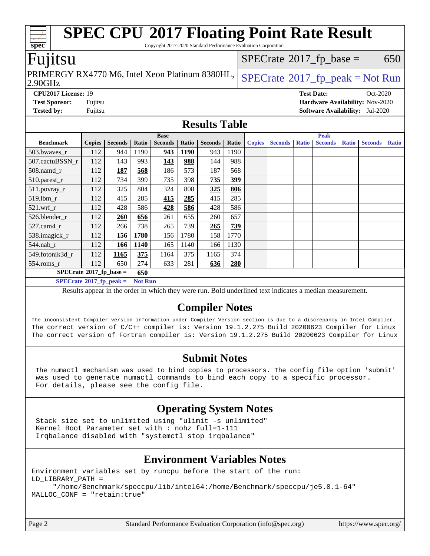| <b>SPEC CPU®2017 Floating Point Rate Result</b><br>Copyright 2017-2020 Standard Performance Evaluation Corporation<br>spec <sup>®</sup>                                                            |                                                                                     |                                   |                |                |              |                |              |               |                |              |                   |              |                                        |              |
|----------------------------------------------------------------------------------------------------------------------------------------------------------------------------------------------------|-------------------------------------------------------------------------------------|-----------------------------------|----------------|----------------|--------------|----------------|--------------|---------------|----------------|--------------|-------------------|--------------|----------------------------------------|--------------|
| Fujitsu                                                                                                                                                                                            | $SPECrate^{\circledast}2017$ _fp_base =                                             |                                   |                |                |              | 650            |              |               |                |              |                   |              |                                        |              |
| 2.90GHz                                                                                                                                                                                            | PRIMERGY RX4770 M6, Intel Xeon Platinum 8380HL,<br>$SPECTate@2017fr peak = Not Run$ |                                   |                |                |              |                |              |               |                |              |                   |              |                                        |              |
| CPU2017 License: 19                                                                                                                                                                                |                                                                                     |                                   |                |                |              |                |              |               |                |              | <b>Test Date:</b> |              | Oct-2020                               |              |
| <b>Test Sponsor:</b>                                                                                                                                                                               | Fujitsu                                                                             |                                   |                |                |              |                |              |               |                |              |                   |              | Hardware Availability: Nov-2020        |              |
| <b>Tested by:</b>                                                                                                                                                                                  | Fujitsu                                                                             |                                   |                |                |              |                |              |               |                |              |                   |              | <b>Software Availability:</b> Jul-2020 |              |
| <b>Results Table</b>                                                                                                                                                                               |                                                                                     |                                   |                |                |              |                |              |               |                |              |                   |              |                                        |              |
|                                                                                                                                                                                                    | <b>Base</b>                                                                         |                                   |                |                |              |                | <b>Peak</b>  |               |                |              |                   |              |                                        |              |
| <b>Benchmark</b>                                                                                                                                                                                   | <b>Copies</b>                                                                       | <b>Seconds</b>                    | Ratio          | <b>Seconds</b> | <b>Ratio</b> | <b>Seconds</b> | <b>Ratio</b> | <b>Copies</b> | <b>Seconds</b> | <b>Ratio</b> | <b>Seconds</b>    | <b>Ratio</b> | <b>Seconds</b>                         | <b>Ratio</b> |
| 503.bwayes_r                                                                                                                                                                                       | 112                                                                                 | 944                               | 1190           | 943            | <b>1190</b>  | 943            | 1190         |               |                |              |                   |              |                                        |              |
| 507.cactuBSSN r                                                                                                                                                                                    | 112                                                                                 | 143                               | 993            | 143            | 988          | 144            | 988          |               |                |              |                   |              |                                        |              |
| $508$ .namd_r                                                                                                                                                                                      | 112                                                                                 | 187                               | 568            | 186            | 573          | 187            | 568          |               |                |              |                   |              |                                        |              |
| 510.parest_r                                                                                                                                                                                       | 112                                                                                 | 734                               | 399            | 735            | 398          | 735            | 399          |               |                |              |                   |              |                                        |              |
| 511.povray_r                                                                                                                                                                                       | 112                                                                                 | 325                               | 804            | 324            | 808          | 325            | 806          |               |                |              |                   |              |                                        |              |
| 519.lbm_r                                                                                                                                                                                          | 112                                                                                 | 415                               | 285            | 415            | 285          | 415            | 285          |               |                |              |                   |              |                                        |              |
| 521.wrf r                                                                                                                                                                                          | 112                                                                                 | 428                               | 586            | 428            | 586          | 428            | 586          |               |                |              |                   |              |                                        |              |
| 526.blender_r                                                                                                                                                                                      | 112                                                                                 | 260                               | 656            | 261            | 655          | 260            | 657          |               |                |              |                   |              |                                        |              |
| 527.cam4_r                                                                                                                                                                                         | 112                                                                                 | 266                               | 738            | 265            | 739          | 265            | 739          |               |                |              |                   |              |                                        |              |
| 538.imagick_r                                                                                                                                                                                      | 112                                                                                 | 156                               | 1780           | 156            | 1780         | 158            | 1770         |               |                |              |                   |              |                                        |              |
| 544.nab_r                                                                                                                                                                                          | 112                                                                                 | 166                               | 1140           | 165            | 1140         | 166            | 1130         |               |                |              |                   |              |                                        |              |
| 549.fotonik3d r                                                                                                                                                                                    | 112                                                                                 | 1165                              | 375            | 1164           | 375          | 1165           | 374          |               |                |              |                   |              |                                        |              |
| $554$ .roms_r                                                                                                                                                                                      | 112                                                                                 | 650                               | 274            | 633            | 281          | 636            | 280          |               |                |              |                   |              |                                        |              |
| $SPECrate$ <sup>®</sup> 2017_fp_base =                                                                                                                                                             |                                                                                     |                                   | 650            |                |              |                |              |               |                |              |                   |              |                                        |              |
|                                                                                                                                                                                                    |                                                                                     | $SPECrate^{\circ}2017$ _fp_peak = | <b>Not Run</b> |                |              |                |              |               |                |              |                   |              |                                        |              |
| Results appear in the order in which they were run. Bold underlined text indicates a median measurement.                                                                                           |                                                                                     |                                   |                |                |              |                |              |               |                |              |                   |              |                                        |              |
| <b>Compiler Notes</b><br>The inconsistent Compiler version information under Compiler Version section is due to a discrepancy in Intel Compiler.                                                   |                                                                                     |                                   |                |                |              |                |              |               |                |              |                   |              |                                        |              |
| The correct version of C/C++ compiler is: Version 19.1.2.275 Build 20200623 Compiler for Linux<br>The correct version of Fortran compiler is: Version 19.1.2.275 Build 20200623 Compiler for Linux |                                                                                     |                                   |                |                |              |                |              |               |                |              |                   |              |                                        |              |

### **[Submit Notes](http://www.spec.org/auto/cpu2017/Docs/result-fields.html#SubmitNotes)**

 The numactl mechanism was used to bind copies to processors. The config file option 'submit' was used to generate numactl commands to bind each copy to a specific processor. For details, please see the config file.

# **[Operating System Notes](http://www.spec.org/auto/cpu2017/Docs/result-fields.html#OperatingSystemNotes)**

 Stack size set to unlimited using "ulimit -s unlimited" Kernel Boot Parameter set with : nohz\_full=1-111 Irqbalance disabled with "systemctl stop irqbalance"

# **[Environment Variables Notes](http://www.spec.org/auto/cpu2017/Docs/result-fields.html#EnvironmentVariablesNotes)**

Environment variables set by runcpu before the start of the run: LD\_LIBRARY\_PATH = "/home/Benchmark/speccpu/lib/intel64:/home/Benchmark/speccpu/je5.0.1-64" MALLOC\_CONF = "retain:true"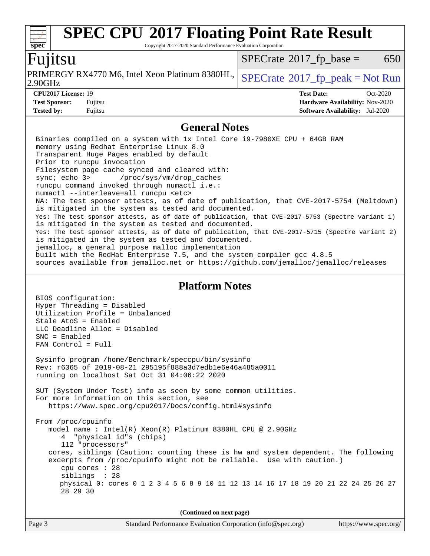#### **[spec](http://www.spec.org/) [SPEC CPU](http://www.spec.org/auto/cpu2017/Docs/result-fields.html#SPECCPU2017FloatingPointRateResult)[2017 Floating Point Rate Result](http://www.spec.org/auto/cpu2017/Docs/result-fields.html#SPECCPU2017FloatingPointRateResult)** Copyright 2017-2020 Standard Performance Evaluation Corporation Fujitsu 2.90GHz PRIMERGY RX4770 M6, Intel Xeon Platinum 8380HL,  $SPECrate^{\circ}2017\_fp\_peak = Not Run$  $SPECrate^{\circ}2017\_fp\_peak = Not Run$  $SPECTate$ <sup>®</sup>[2017\\_fp\\_base =](http://www.spec.org/auto/cpu2017/Docs/result-fields.html#SPECrate2017fpbase) 650 **[CPU2017 License:](http://www.spec.org/auto/cpu2017/Docs/result-fields.html#CPU2017License)** 19 **[Test Date:](http://www.spec.org/auto/cpu2017/Docs/result-fields.html#TestDate)** Oct-2020 **[Test Sponsor:](http://www.spec.org/auto/cpu2017/Docs/result-fields.html#TestSponsor)** Fujitsu **[Hardware Availability:](http://www.spec.org/auto/cpu2017/Docs/result-fields.html#HardwareAvailability)** Nov-2020 **[Tested by:](http://www.spec.org/auto/cpu2017/Docs/result-fields.html#Testedby)** Fujitsu **[Software Availability:](http://www.spec.org/auto/cpu2017/Docs/result-fields.html#SoftwareAvailability)** Jul-2020 **[General Notes](http://www.spec.org/auto/cpu2017/Docs/result-fields.html#GeneralNotes)** Binaries compiled on a system with 1x Intel Core i9-7980XE CPU + 64GB RAM memory using Redhat Enterprise Linux 8.0 Transparent Huge Pages enabled by default Prior to runcpu invocation Filesystem page cache synced and cleared with: sync; echo 3> /proc/sys/vm/drop\_caches runcpu command invoked through numactl i.e.: numactl --interleave=all runcpu <etc> NA: The test sponsor attests, as of date of publication, that CVE-2017-5754 (Meltdown) is mitigated in the system as tested and documented. Yes: The test sponsor attests, as of date of publication, that CVE-2017-5753 (Spectre variant 1) is mitigated in the system as tested and documented. Yes: The test sponsor attests, as of date of publication, that CVE-2017-5715 (Spectre variant 2) is mitigated in the system as tested and documented. jemalloc, a general purpose malloc implementation built with the RedHat Enterprise 7.5, and the system compiler gcc 4.8.5 sources available from jemalloc.net or<https://github.com/jemalloc/jemalloc/releases> **[Platform Notes](http://www.spec.org/auto/cpu2017/Docs/result-fields.html#PlatformNotes)** BIOS configuration: Hyper Threading = Disabled Utilization Profile = Unbalanced Stale AtoS = Enabled LLC Deadline Alloc = Disabled SNC = Enabled FAN Control = Full Sysinfo program /home/Benchmark/speccpu/bin/sysinfo Rev: r6365 of 2019-08-21 295195f888a3d7edb1e6e46a485a0011 running on localhost Sat Oct 31 04:06:22 2020 SUT (System Under Test) info as seen by some common utilities. For more information on this section, see <https://www.spec.org/cpu2017/Docs/config.html#sysinfo> From /proc/cpuinfo model name : Intel(R) Xeon(R) Platinum 8380HL CPU @ 2.90GHz 4 "physical id"s (chips) 112 "processors" cores, siblings (Caution: counting these is hw and system dependent. The following excerpts from /proc/cpuinfo might not be reliable. Use with caution.) cpu cores : 28 siblings : 28 physical 0: cores 0 1 2 3 4 5 6 8 9 10 11 12 13 14 16 17 18 19 20 21 22 24 25 26 27 28 29 30

**(Continued on next page)**

| Page 3 | Standard Performance Evaluation Corporation (info@spec.org) | https://www.spec.org/ |
|--------|-------------------------------------------------------------|-----------------------|
|--------|-------------------------------------------------------------|-----------------------|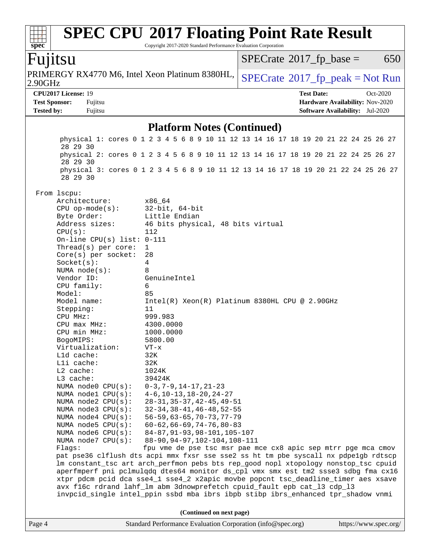| spec                     |                                                                                                                                                                         | <b>SPEC CPU®2017 Floating Point Rate Result</b><br>Copyright 2017-2020 Standard Performance Evaluation Corporation                                          |                                          |                                        |  |  |
|--------------------------|-------------------------------------------------------------------------------------------------------------------------------------------------------------------------|-------------------------------------------------------------------------------------------------------------------------------------------------------------|------------------------------------------|----------------------------------------|--|--|
| Fujitsu                  |                                                                                                                                                                         |                                                                                                                                                             | $SPECrate^{\circledast}2017$ _fp_base =  | 650                                    |  |  |
| 2.90GHz                  |                                                                                                                                                                         | PRIMERGY RX4770 M6, Intel Xeon Platinum 8380HL,                                                                                                             | $SPECrate^{\circ}2017rfp peak = Not Run$ |                                        |  |  |
|                          | CPU2017 License: 19                                                                                                                                                     |                                                                                                                                                             | <b>Test Date:</b>                        | Oct-2020                               |  |  |
| <b>Test Sponsor:</b>     | Fujitsu                                                                                                                                                                 |                                                                                                                                                             |                                          | Hardware Availability: Nov-2020        |  |  |
| <b>Tested by:</b>        | Fujitsu                                                                                                                                                                 |                                                                                                                                                             |                                          | <b>Software Availability:</b> Jul-2020 |  |  |
|                          | <b>Platform Notes (Continued)</b>                                                                                                                                       |                                                                                                                                                             |                                          |                                        |  |  |
|                          | 28 29 30                                                                                                                                                                | physical 1: cores 0 1 2 3 4 5 6 8 9 10 11 12 13 14 16 17 18 19 20 21 22 24 25 26 27                                                                         |                                          |                                        |  |  |
|                          | 28 29 30                                                                                                                                                                | physical 2: cores 0 1 2 3 4 5 6 8 9 10 11 12 13 14 16 17 18 19 20 21 22 24 25 26 27                                                                         |                                          |                                        |  |  |
|                          | 28 29 30                                                                                                                                                                | physical 3: cores 0 1 2 3 4 5 6 8 9 10 11 12 13 14 16 17 18 19 20 21 22 24 25 26 27                                                                         |                                          |                                        |  |  |
|                          | From 1scpu:                                                                                                                                                             |                                                                                                                                                             |                                          |                                        |  |  |
|                          | Architecture:                                                                                                                                                           | x86 64                                                                                                                                                      |                                          |                                        |  |  |
|                          | $CPU$ op-mode( $s$ ):<br>Byte Order:                                                                                                                                    | $32$ -bit, $64$ -bit<br>Little Endian                                                                                                                       |                                          |                                        |  |  |
|                          | Address sizes:                                                                                                                                                          | 46 bits physical, 48 bits virtual                                                                                                                           |                                          |                                        |  |  |
|                          | CPU(s):                                                                                                                                                                 | 112                                                                                                                                                         |                                          |                                        |  |  |
|                          | On-line CPU(s) list: 0-111                                                                                                                                              |                                                                                                                                                             |                                          |                                        |  |  |
|                          | Thread(s) per core:                                                                                                                                                     | $\mathbf 1$                                                                                                                                                 |                                          |                                        |  |  |
|                          | Core(s) per socket:                                                                                                                                                     | 28                                                                                                                                                          |                                          |                                        |  |  |
|                          | Socket(s):                                                                                                                                                              | 4                                                                                                                                                           |                                          |                                        |  |  |
|                          | NUMA $node(s)$ :<br>Vendor ID:                                                                                                                                          | 8<br>GenuineIntel                                                                                                                                           |                                          |                                        |  |  |
|                          | CPU family:                                                                                                                                                             | 6                                                                                                                                                           |                                          |                                        |  |  |
|                          | Model:                                                                                                                                                                  | 85                                                                                                                                                          |                                          |                                        |  |  |
|                          | Model name:                                                                                                                                                             | Intel(R) Xeon(R) Platinum 8380HL CPU @ 2.90GHz                                                                                                              |                                          |                                        |  |  |
|                          | Stepping:                                                                                                                                                               | 11                                                                                                                                                          |                                          |                                        |  |  |
|                          | CPU MHz:                                                                                                                                                                | 999.983                                                                                                                                                     |                                          |                                        |  |  |
|                          | $CPU$ max $MHz:$<br>CPU min MHz:                                                                                                                                        | 4300.0000                                                                                                                                                   |                                          |                                        |  |  |
|                          | BogoMIPS:                                                                                                                                                               | 1000.0000<br>5800.00                                                                                                                                        |                                          |                                        |  |  |
|                          | Virtualization:                                                                                                                                                         | VT-x                                                                                                                                                        |                                          |                                        |  |  |
|                          | L1d cache:                                                                                                                                                              | 32K                                                                                                                                                         |                                          |                                        |  |  |
|                          | Lli cache:                                                                                                                                                              | 32K                                                                                                                                                         |                                          |                                        |  |  |
|                          | L2 cache:                                                                                                                                                               | 1024K                                                                                                                                                       |                                          |                                        |  |  |
|                          | L3 cache:                                                                                                                                                               | 39424K                                                                                                                                                      |                                          |                                        |  |  |
|                          | NUMA node0 CPU(s):                                                                                                                                                      | $0-3, 7-9, 14-17, 21-23$                                                                                                                                    |                                          |                                        |  |  |
|                          | NUMA nodel $CPU(s):$                                                                                                                                                    | $4-6, 10-13, 18-20, 24-27$                                                                                                                                  |                                          |                                        |  |  |
|                          | NUMA node2 CPU(s):<br>NUMA $node3$ CPU $(s)$ :                                                                                                                          | $28 - 31, 35 - 37, 42 - 45, 49 - 51$<br>$32 - 34, 38 - 41, 46 - 48, 52 - 55$                                                                                |                                          |                                        |  |  |
|                          | NUMA $node4$ $CPU(s):$                                                                                                                                                  | $56 - 59$ , $63 - 65$ , $70 - 73$ , $77 - 79$                                                                                                               |                                          |                                        |  |  |
|                          | NUMA node5 $CPU(s):$                                                                                                                                                    | $60 - 62, 66 - 69, 74 - 76, 80 - 83$                                                                                                                        |                                          |                                        |  |  |
|                          | NUMA node6 CPU(s):                                                                                                                                                      | 84-87, 91-93, 98-101, 105-107                                                                                                                               |                                          |                                        |  |  |
|                          | NUMA node7 CPU(s):                                                                                                                                                      | 88-90, 94-97, 102-104, 108-111                                                                                                                              |                                          |                                        |  |  |
|                          | Flags:                                                                                                                                                                  | fpu vme de pse tsc msr pae mce cx8 apic sep mtrr pge mca cmov                                                                                               |                                          |                                        |  |  |
|                          |                                                                                                                                                                         | pat pse36 clflush dts acpi mmx fxsr sse sse2 ss ht tm pbe syscall nx pdpelgb rdtscp                                                                         |                                          |                                        |  |  |
|                          |                                                                                                                                                                         | lm constant_tsc art arch_perfmon pebs bts rep_good nopl xtopology nonstop_tsc cpuid                                                                         |                                          |                                        |  |  |
|                          | aperfmperf pni pclmulqdq dtes64 monitor ds_cpl vmx smx est tm2 ssse3 sdbg fma cx16<br>xtpr pdcm pcid dca sse4_1 sse4_2 x2apic movbe popcnt tsc_deadline_timer aes xsave |                                                                                                                                                             |                                          |                                        |  |  |
|                          |                                                                                                                                                                         | avx f16c rdrand lahf_lm abm 3dnowprefetch cpuid_fault epb cat_13 cdp_13<br>invpcid_single intel_ppin ssbd mba ibrs ibpb stibp ibrs_enhanced tpr_shadow vnmi |                                          |                                        |  |  |
| (Continued on next page) |                                                                                                                                                                         |                                                                                                                                                             |                                          |                                        |  |  |
| Page 4                   |                                                                                                                                                                         | Standard Performance Evaluation Corporation (info@spec.org)                                                                                                 |                                          | https://www.spec.org/                  |  |  |
|                          |                                                                                                                                                                         |                                                                                                                                                             |                                          |                                        |  |  |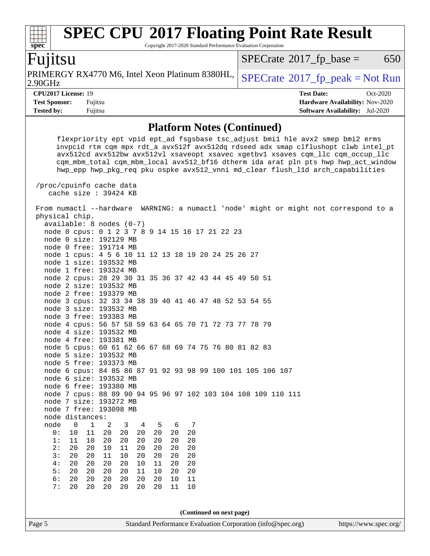## **[spec](http://www.spec.org/) [SPEC CPU](http://www.spec.org/auto/cpu2017/Docs/result-fields.html#SPECCPU2017FloatingPointRateResult)[2017 Floating Point Rate Result](http://www.spec.org/auto/cpu2017/Docs/result-fields.html#SPECCPU2017FloatingPointRateResult)**

Copyright 2017-2020 Standard Performance Evaluation Corporation

# Fujitsu

2.90GHz PRIMERGY RX4770 M6, Intel Xeon Platinum 8380HL,  $\left|$  [SPECrate](http://www.spec.org/auto/cpu2017/Docs/result-fields.html#SPECrate2017fppeak)®[2017\\_fp\\_peak = N](http://www.spec.org/auto/cpu2017/Docs/result-fields.html#SPECrate2017fppeak)ot Run

 $SPECTate$ <sup>®</sup>[2017\\_fp\\_base =](http://www.spec.org/auto/cpu2017/Docs/result-fields.html#SPECrate2017fpbase) 650

**[CPU2017 License:](http://www.spec.org/auto/cpu2017/Docs/result-fields.html#CPU2017License)** 19 **[Test Date:](http://www.spec.org/auto/cpu2017/Docs/result-fields.html#TestDate)** Oct-2020 **[Test Sponsor:](http://www.spec.org/auto/cpu2017/Docs/result-fields.html#TestSponsor)** Fujitsu **[Hardware Availability:](http://www.spec.org/auto/cpu2017/Docs/result-fields.html#HardwareAvailability)** Nov-2020 **[Tested by:](http://www.spec.org/auto/cpu2017/Docs/result-fields.html#Testedby)** Fujitsu **[Software Availability:](http://www.spec.org/auto/cpu2017/Docs/result-fields.html#SoftwareAvailability)** Jul-2020

### **[Platform Notes \(Continued\)](http://www.spec.org/auto/cpu2017/Docs/result-fields.html#PlatformNotes)**

 flexpriority ept vpid ept\_ad fsgsbase tsc\_adjust bmi1 hle avx2 smep bmi2 erms invpcid rtm cqm mpx rdt\_a avx512f avx512dq rdseed adx smap clflushopt clwb intel\_pt avx512cd avx512bw avx512vl xsaveopt xsavec xgetbv1 xsaves cqm\_llc cqm\_occup\_llc cqm\_mbm\_total cqm\_mbm\_local avx512\_bf16 dtherm ida arat pln pts hwp hwp\_act\_window hwp\_epp hwp\_pkg\_req pku ospke avx512\_vnni md\_clear flush\_l1d arch\_capabilities /proc/cpuinfo cache data cache size : 39424 KB From numactl --hardware WARNING: a numactl 'node' might or might not correspond to a physical chip. available: 8 nodes (0-7) node 0 cpus: 0 1 2 3 7 8 9 14 15 16 17 21 22 23 node 0 size: 192129 MB node 0 free: 191714 MB node 1 cpus: 4 5 6 10 11 12 13 18 19 20 24 25 26 27 node 1 size: 193532 MB node 1 free: 193324 MB node 2 cpus: 28 29 30 31 35 36 37 42 43 44 45 49 50 51 node 2 size: 193532 MB node 2 free: 193379 MB node 3 cpus: 32 33 34 38 39 40 41 46 47 48 52 53 54 55 node 3 size: 193532 MB node 3 free: 193383 MB node 4 cpus: 56 57 58 59 63 64 65 70 71 72 73 77 78 79 node 4 size: 193532 MB node 4 free: 193381 MB node 5 cpus: 60 61 62 66 67 68 69 74 75 76 80 81 82 83 node 5 size: 193532 MB node 5 free: 193373 MB node 6 cpus: 84 85 86 87 91 92 93 98 99 100 101 105 106 107 node 6 size: 193532 MB node 6 free: 193380 MB node 7 cpus: 88 89 90 94 95 96 97 102 103 104 108 109 110 111 node 7 size: 193272 MB node 7 free: 193098 MB node distances: node 0 1 2 3 4 5 6 7 0: 10 11 20 20 20 20 20 20 1: 11 10 20 20 20 20 20 20 2: 20 20 10 11 20 20 20 20 3: 20 20 11 10 20 20 20 20 4: 20 20 20 20 10 11 20 20 5: 20 20 20 20 11 10 20 20 6: 20 20 20 20 20 20 10 11 7: 20 20 20 20 20 20 11 10 **(Continued on next page)**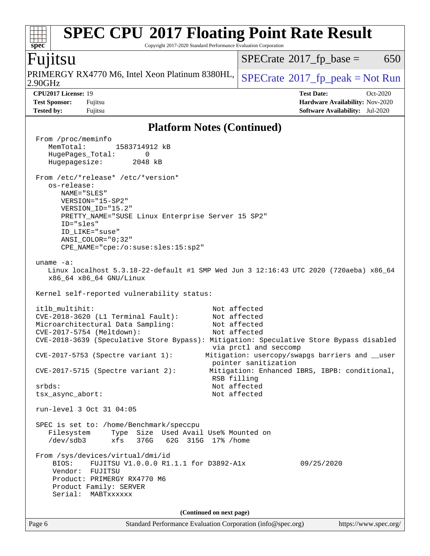#### **[spec](http://www.spec.org/) [SPEC CPU](http://www.spec.org/auto/cpu2017/Docs/result-fields.html#SPECCPU2017FloatingPointRateResult)[2017 Floating Point Rate Result](http://www.spec.org/auto/cpu2017/Docs/result-fields.html#SPECCPU2017FloatingPointRateResult)** Copyright 2017-2020 Standard Performance Evaluation Corporation Fujitsu 2.90GHz PRIMERGY RX4770 M6, Intel Xeon Platinum 8380HL,  $\left|$  [SPECrate](http://www.spec.org/auto/cpu2017/Docs/result-fields.html#SPECrate2017fppeak)®[2017\\_fp\\_peak = N](http://www.spec.org/auto/cpu2017/Docs/result-fields.html#SPECrate2017fppeak)ot Run  $SPECTate$ <sup>®</sup>[2017\\_fp\\_base =](http://www.spec.org/auto/cpu2017/Docs/result-fields.html#SPECrate2017fpbase) 650 **[CPU2017 License:](http://www.spec.org/auto/cpu2017/Docs/result-fields.html#CPU2017License)** 19 **[Test Date:](http://www.spec.org/auto/cpu2017/Docs/result-fields.html#TestDate)** Oct-2020 **[Test Sponsor:](http://www.spec.org/auto/cpu2017/Docs/result-fields.html#TestSponsor)** Fujitsu **[Hardware Availability:](http://www.spec.org/auto/cpu2017/Docs/result-fields.html#HardwareAvailability)** Nov-2020 **[Tested by:](http://www.spec.org/auto/cpu2017/Docs/result-fields.html#Testedby)** Fujitsu **[Software Availability:](http://www.spec.org/auto/cpu2017/Docs/result-fields.html#SoftwareAvailability)** Jul-2020 **[Platform Notes \(Continued\)](http://www.spec.org/auto/cpu2017/Docs/result-fields.html#PlatformNotes)** From /proc/meminfo MemTotal: 1583714912 kB HugePages\_Total: 0 Hugepagesize: 2048 kB From /etc/\*release\* /etc/\*version\* os-release: NAME="SLES" VERSION="15-SP2" VERSION\_ID="15.2" PRETTY\_NAME="SUSE Linux Enterprise Server 15 SP2" ID="sles" ID\_LIKE="suse" ANSI\_COLOR="0;32" CPE\_NAME="cpe:/o:suse:sles:15:sp2" uname -a: Linux localhost 5.3.18-22-default #1 SMP Wed Jun 3 12:16:43 UTC 2020 (720aeba) x86\_64 x86\_64 x86\_64 GNU/Linux Kernel self-reported vulnerability status: itlb\_multihit: Not affected CVE-2018-3620 (L1 Terminal Fault): Not affected Microarchitectural Data Sampling: Not affected CVE-2017-5754 (Meltdown): Not affected CVE-2018-3639 (Speculative Store Bypass): Mitigation: Speculative Store Bypass disabled via prctl and seccomp CVE-2017-5753 (Spectre variant 1): Mitigation: usercopy/swapgs barriers and \_\_user pointer sanitization CVE-2017-5715 (Spectre variant 2): Mitigation: Enhanced IBRS, IBPB: conditional, RSB filling srbds: Not affected tsx\_async\_abort: Not affected run-level 3 Oct 31 04:05 SPEC is set to: /home/Benchmark/speccpu Filesystem Type Size Used Avail Use% Mounted on /dev/sdb3 xfs 376G 62G 315G 17% /home From /sys/devices/virtual/dmi/id BIOS: FUJITSU V1.0.0.0 R1.1.1 for D3892-A1x 09/25/2020 Vendor: FUJITSU Product: PRIMERGY RX4770 M6 Product Family: SERVER Serial: MABTxxxxxx

**(Continued on next page)**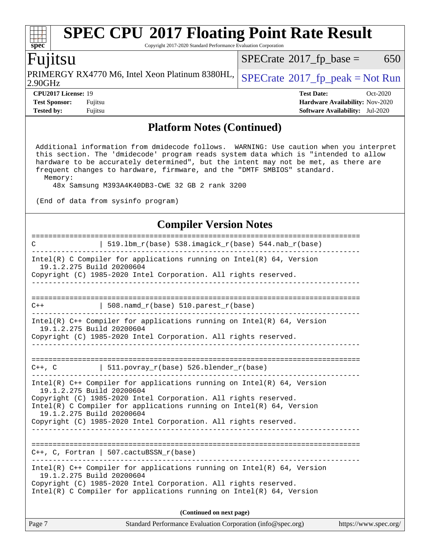# **[SPEC CPU](http://www.spec.org/auto/cpu2017/Docs/result-fields.html#SPECCPU2017FloatingPointRateResult)[2017 Floating Point Rate Result](http://www.spec.org/auto/cpu2017/Docs/result-fields.html#SPECCPU2017FloatingPointRateResult)**

Copyright 2017-2020 Standard Performance Evaluation Corporation

# Fujitsu

**[spec](http://www.spec.org/)**

2.90GHz PRIMERGY RX4770 M6, Intel Xeon Platinum 8380HL,  $\left|$  [SPECrate](http://www.spec.org/auto/cpu2017/Docs/result-fields.html#SPECrate2017fppeak)®[2017\\_fp\\_peak = N](http://www.spec.org/auto/cpu2017/Docs/result-fields.html#SPECrate2017fppeak)ot Run

 $SPECTate@2017_fp\_base = 650$ 

**[Tested by:](http://www.spec.org/auto/cpu2017/Docs/result-fields.html#Testedby)** Fujitsu **[Software Availability:](http://www.spec.org/auto/cpu2017/Docs/result-fields.html#SoftwareAvailability)** Jul-2020

**[CPU2017 License:](http://www.spec.org/auto/cpu2017/Docs/result-fields.html#CPU2017License)** 19 **[Test Date:](http://www.spec.org/auto/cpu2017/Docs/result-fields.html#TestDate)** Oct-2020 **[Test Sponsor:](http://www.spec.org/auto/cpu2017/Docs/result-fields.html#TestSponsor)** Fujitsu **[Hardware Availability:](http://www.spec.org/auto/cpu2017/Docs/result-fields.html#HardwareAvailability)** Nov-2020

### **[Platform Notes \(Continued\)](http://www.spec.org/auto/cpu2017/Docs/result-fields.html#PlatformNotes)**

 Additional information from dmidecode follows. WARNING: Use caution when you interpret this section. The 'dmidecode' program reads system data which is "intended to allow hardware to be accurately determined", but the intent may not be met, as there are frequent changes to hardware, firmware, and the "DMTF SMBIOS" standard. Memory:

48x Samsung M393A4K40DB3-CWE 32 GB 2 rank 3200

(End of data from sysinfo program)

### **[Compiler Version Notes](http://www.spec.org/auto/cpu2017/Docs/result-fields.html#CompilerVersionNotes)**

| C                                                                                                                                                                                                                                                                                                                                                   | 519.1bm_r(base) 538.imagick_r(base) 544.nab_r(base)                                                                                         |  |  |  |  |
|-----------------------------------------------------------------------------------------------------------------------------------------------------------------------------------------------------------------------------------------------------------------------------------------------------------------------------------------------------|---------------------------------------------------------------------------------------------------------------------------------------------|--|--|--|--|
| $Intel(R)$ C Compiler for applications running on $Intel(R)$ 64, Version<br>19.1.2.275 Build 20200604<br>Copyright (C) 1985-2020 Intel Corporation. All rights reserved.                                                                                                                                                                            |                                                                                                                                             |  |  |  |  |
| $C++$                                                                                                                                                                                                                                                                                                                                               | 508. $n$ amd $r(base)$ 510. $parest$ $r(base)$                                                                                              |  |  |  |  |
| 19.1.2.275 Build 20200604                                                                                                                                                                                                                                                                                                                           | Intel(R) $C++$ Compiler for applications running on Intel(R) 64, Version<br>Copyright (C) 1985-2020 Intel Corporation. All rights reserved. |  |  |  |  |
|                                                                                                                                                                                                                                                                                                                                                     | $C++$ , C $511.povray_r(base) 526.blender_r(base)$                                                                                          |  |  |  |  |
| Intel(R) $C++$ Compiler for applications running on Intel(R) 64, Version<br>19.1.2.275 Build 20200604<br>Copyright (C) 1985-2020 Intel Corporation. All rights reserved.<br>Intel(R) C Compiler for applications running on $Intel(R) 64$ , Version<br>19.1.2.275 Build 20200604<br>Copyright (C) 1985-2020 Intel Corporation. All rights reserved. |                                                                                                                                             |  |  |  |  |
|                                                                                                                                                                                                                                                                                                                                                     | $C++$ , C, Fortran   507. cactuBSSN_r(base)                                                                                                 |  |  |  |  |
| Intel(R) $C++$ Compiler for applications running on Intel(R) 64, Version<br>19.1.2.275 Build 20200604<br>Copyright (C) 1985-2020 Intel Corporation. All rights reserved.<br>Intel(R) C Compiler for applications running on Intel(R) $64$ , Version                                                                                                 |                                                                                                                                             |  |  |  |  |
| (Continued on next page)                                                                                                                                                                                                                                                                                                                            |                                                                                                                                             |  |  |  |  |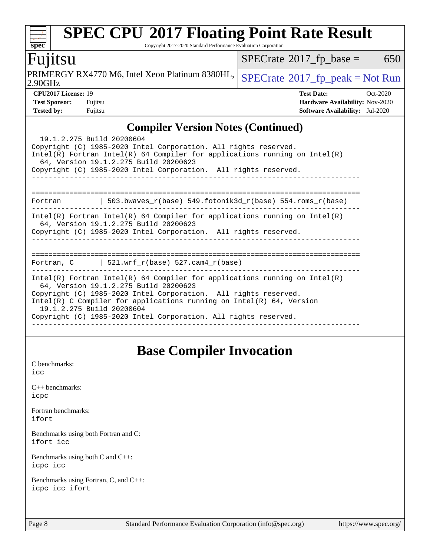# **[SPEC CPU](http://www.spec.org/auto/cpu2017/Docs/result-fields.html#SPECCPU2017FloatingPointRateResult)[2017 Floating Point Rate Result](http://www.spec.org/auto/cpu2017/Docs/result-fields.html#SPECCPU2017FloatingPointRateResult)**

Copyright 2017-2020 Standard Performance Evaluation Corporation

# Fujitsu

2.90GHz PRIMERGY RX4770 M6, Intel Xeon Platinum 8380HL,  $\left|$  [SPECrate](http://www.spec.org/auto/cpu2017/Docs/result-fields.html#SPECrate2017fppeak)®[2017\\_fp\\_peak = N](http://www.spec.org/auto/cpu2017/Docs/result-fields.html#SPECrate2017fppeak)ot Run

 $SPECTate@2017_fp\_base = 650$ 

**[spec](http://www.spec.org/)**

 $+\ +$ 

**[CPU2017 License:](http://www.spec.org/auto/cpu2017/Docs/result-fields.html#CPU2017License)** 19 **[Test Date:](http://www.spec.org/auto/cpu2017/Docs/result-fields.html#TestDate)** Oct-2020 **[Test Sponsor:](http://www.spec.org/auto/cpu2017/Docs/result-fields.html#TestSponsor)** Fujitsu **[Hardware Availability:](http://www.spec.org/auto/cpu2017/Docs/result-fields.html#HardwareAvailability)** Nov-2020 **[Tested by:](http://www.spec.org/auto/cpu2017/Docs/result-fields.html#Testedby)** Fujitsu **[Software Availability:](http://www.spec.org/auto/cpu2017/Docs/result-fields.html#SoftwareAvailability)** Jul-2020

# **[Compiler Version Notes \(Continued\)](http://www.spec.org/auto/cpu2017/Docs/result-fields.html#CompilerVersionNotes)**

| $\frac{1}{2}$                                                                                                                                                                          |  |  |  |  |  |
|----------------------------------------------------------------------------------------------------------------------------------------------------------------------------------------|--|--|--|--|--|
| 19.1.2.275 Build 20200604<br>Copyright (C) 1985-2020 Intel Corporation. All rights reserved.                                                                                           |  |  |  |  |  |
| Intel(R) Fortran Intel(R) 64 Compiler for applications running on Intel(R)<br>64, Version 19.1.2.275 Build 20200623                                                                    |  |  |  |  |  |
| Copyright (C) 1985-2020 Intel Corporation. All rights reserved.                                                                                                                        |  |  |  |  |  |
|                                                                                                                                                                                        |  |  |  |  |  |
| 503.bwaves $r(base)$ 549.fotonik3d $r(base)$ 554.roms $r(base)$<br>Fortran                                                                                                             |  |  |  |  |  |
| Intel(R) Fortran Intel(R) 64 Compiler for applications running on Intel(R)<br>64, Version 19.1.2.275 Build 20200623<br>Copyright (C) 1985-2020 Intel Corporation. All rights reserved. |  |  |  |  |  |
|                                                                                                                                                                                        |  |  |  |  |  |
| Fortran, $C$   521.wrf $r(base)$ 527.cam4 $r(base)$                                                                                                                                    |  |  |  |  |  |
| Intel(R) Fortran Intel(R) 64 Compiler for applications running on Intel(R)<br>64, Version 19.1.2.275 Build 20200623                                                                    |  |  |  |  |  |
| Copyright (C) 1985-2020 Intel Corporation. All rights reserved.<br>Intel(R) C Compiler for applications running on Intel(R) $64$ , Version<br>19.1.2.275 Build 20200604                |  |  |  |  |  |
| Copyright (C) 1985-2020 Intel Corporation. All rights reserved.                                                                                                                        |  |  |  |  |  |

# **[Base Compiler Invocation](http://www.spec.org/auto/cpu2017/Docs/result-fields.html#BaseCompilerInvocation)**

[C benchmarks](http://www.spec.org/auto/cpu2017/Docs/result-fields.html#Cbenchmarks): [icc](http://www.spec.org/cpu2017/results/res2020q4/cpu2017-20201027-24314.flags.html#user_CCbase_intel_icc_66fc1ee009f7361af1fbd72ca7dcefbb700085f36577c54f309893dd4ec40d12360134090235512931783d35fd58c0460139e722d5067c5574d8eaf2b3e37e92)

[C++ benchmarks:](http://www.spec.org/auto/cpu2017/Docs/result-fields.html#CXXbenchmarks) [icpc](http://www.spec.org/cpu2017/results/res2020q4/cpu2017-20201027-24314.flags.html#user_CXXbase_intel_icpc_c510b6838c7f56d33e37e94d029a35b4a7bccf4766a728ee175e80a419847e808290a9b78be685c44ab727ea267ec2f070ec5dc83b407c0218cded6866a35d07)

[Fortran benchmarks](http://www.spec.org/auto/cpu2017/Docs/result-fields.html#Fortranbenchmarks): [ifort](http://www.spec.org/cpu2017/results/res2020q4/cpu2017-20201027-24314.flags.html#user_FCbase_intel_ifort_8111460550e3ca792625aed983ce982f94888b8b503583aa7ba2b8303487b4d8a21a13e7191a45c5fd58ff318f48f9492884d4413fa793fd88dd292cad7027ca)

[Benchmarks using both Fortran and C](http://www.spec.org/auto/cpu2017/Docs/result-fields.html#BenchmarksusingbothFortranandC): [ifort](http://www.spec.org/cpu2017/results/res2020q4/cpu2017-20201027-24314.flags.html#user_CC_FCbase_intel_ifort_8111460550e3ca792625aed983ce982f94888b8b503583aa7ba2b8303487b4d8a21a13e7191a45c5fd58ff318f48f9492884d4413fa793fd88dd292cad7027ca) [icc](http://www.spec.org/cpu2017/results/res2020q4/cpu2017-20201027-24314.flags.html#user_CC_FCbase_intel_icc_66fc1ee009f7361af1fbd72ca7dcefbb700085f36577c54f309893dd4ec40d12360134090235512931783d35fd58c0460139e722d5067c5574d8eaf2b3e37e92)

[Benchmarks using both C and C++](http://www.spec.org/auto/cpu2017/Docs/result-fields.html#BenchmarksusingbothCandCXX): [icpc](http://www.spec.org/cpu2017/results/res2020q4/cpu2017-20201027-24314.flags.html#user_CC_CXXbase_intel_icpc_c510b6838c7f56d33e37e94d029a35b4a7bccf4766a728ee175e80a419847e808290a9b78be685c44ab727ea267ec2f070ec5dc83b407c0218cded6866a35d07) [icc](http://www.spec.org/cpu2017/results/res2020q4/cpu2017-20201027-24314.flags.html#user_CC_CXXbase_intel_icc_66fc1ee009f7361af1fbd72ca7dcefbb700085f36577c54f309893dd4ec40d12360134090235512931783d35fd58c0460139e722d5067c5574d8eaf2b3e37e92)

[Benchmarks using Fortran, C, and C++:](http://www.spec.org/auto/cpu2017/Docs/result-fields.html#BenchmarksusingFortranCandCXX) [icpc](http://www.spec.org/cpu2017/results/res2020q4/cpu2017-20201027-24314.flags.html#user_CC_CXX_FCbase_intel_icpc_c510b6838c7f56d33e37e94d029a35b4a7bccf4766a728ee175e80a419847e808290a9b78be685c44ab727ea267ec2f070ec5dc83b407c0218cded6866a35d07) [icc](http://www.spec.org/cpu2017/results/res2020q4/cpu2017-20201027-24314.flags.html#user_CC_CXX_FCbase_intel_icc_66fc1ee009f7361af1fbd72ca7dcefbb700085f36577c54f309893dd4ec40d12360134090235512931783d35fd58c0460139e722d5067c5574d8eaf2b3e37e92) [ifort](http://www.spec.org/cpu2017/results/res2020q4/cpu2017-20201027-24314.flags.html#user_CC_CXX_FCbase_intel_ifort_8111460550e3ca792625aed983ce982f94888b8b503583aa7ba2b8303487b4d8a21a13e7191a45c5fd58ff318f48f9492884d4413fa793fd88dd292cad7027ca)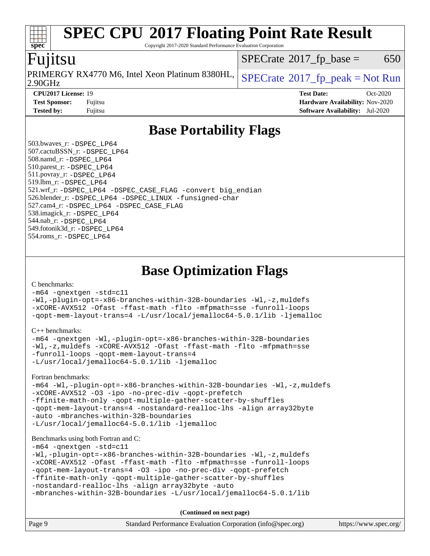#### **[spec](http://www.spec.org/) [SPEC CPU](http://www.spec.org/auto/cpu2017/Docs/result-fields.html#SPECCPU2017FloatingPointRateResult)[2017 Floating Point Rate Result](http://www.spec.org/auto/cpu2017/Docs/result-fields.html#SPECCPU2017FloatingPointRateResult)** Copyright 2017-2020 Standard Performance Evaluation Corporation Fujitsu 2.90GHz PRIMERGY RX4770 M6, Intel Xeon Platinum 8380HL,  $SPECrate^{\circ}2017\_fp\_peak = Not Run$  $SPECrate^{\circ}2017\_fp\_peak = Not Run$  $SPECTate$ <sup>®</sup>[2017\\_fp\\_base =](http://www.spec.org/auto/cpu2017/Docs/result-fields.html#SPECrate2017fpbase) 650 **[CPU2017 License:](http://www.spec.org/auto/cpu2017/Docs/result-fields.html#CPU2017License)** 19 **[Test Date:](http://www.spec.org/auto/cpu2017/Docs/result-fields.html#TestDate)** Oct-2020 **[Test Sponsor:](http://www.spec.org/auto/cpu2017/Docs/result-fields.html#TestSponsor)** Fujitsu **[Hardware Availability:](http://www.spec.org/auto/cpu2017/Docs/result-fields.html#HardwareAvailability)** Nov-2020 **[Tested by:](http://www.spec.org/auto/cpu2017/Docs/result-fields.html#Testedby)** Fujitsu **[Software Availability:](http://www.spec.org/auto/cpu2017/Docs/result-fields.html#SoftwareAvailability)** Jul-2020 **[Base Portability Flags](http://www.spec.org/auto/cpu2017/Docs/result-fields.html#BasePortabilityFlags)** 503.bwaves\_r: [-DSPEC\\_LP64](http://www.spec.org/cpu2017/results/res2020q4/cpu2017-20201027-24314.flags.html#suite_basePORTABILITY503_bwaves_r_DSPEC_LP64) 507.cactuBSSN\_r: [-DSPEC\\_LP64](http://www.spec.org/cpu2017/results/res2020q4/cpu2017-20201027-24314.flags.html#suite_basePORTABILITY507_cactuBSSN_r_DSPEC_LP64) 508.namd\_r: [-DSPEC\\_LP64](http://www.spec.org/cpu2017/results/res2020q4/cpu2017-20201027-24314.flags.html#suite_basePORTABILITY508_namd_r_DSPEC_LP64) 510.parest\_r: [-DSPEC\\_LP64](http://www.spec.org/cpu2017/results/res2020q4/cpu2017-20201027-24314.flags.html#suite_basePORTABILITY510_parest_r_DSPEC_LP64) 511.povray\_r: [-DSPEC\\_LP64](http://www.spec.org/cpu2017/results/res2020q4/cpu2017-20201027-24314.flags.html#suite_basePORTABILITY511_povray_r_DSPEC_LP64) 519.lbm\_r: [-DSPEC\\_LP64](http://www.spec.org/cpu2017/results/res2020q4/cpu2017-20201027-24314.flags.html#suite_basePORTABILITY519_lbm_r_DSPEC_LP64) 521.wrf\_r: [-DSPEC\\_LP64](http://www.spec.org/cpu2017/results/res2020q4/cpu2017-20201027-24314.flags.html#suite_basePORTABILITY521_wrf_r_DSPEC_LP64) [-DSPEC\\_CASE\\_FLAG](http://www.spec.org/cpu2017/results/res2020q4/cpu2017-20201027-24314.flags.html#b521.wrf_r_baseCPORTABILITY_DSPEC_CASE_FLAG) [-convert big\\_endian](http://www.spec.org/cpu2017/results/res2020q4/cpu2017-20201027-24314.flags.html#user_baseFPORTABILITY521_wrf_r_convert_big_endian_c3194028bc08c63ac5d04de18c48ce6d347e4e562e8892b8bdbdc0214820426deb8554edfa529a3fb25a586e65a3d812c835984020483e7e73212c4d31a38223) 526.blender\_r: [-DSPEC\\_LP64](http://www.spec.org/cpu2017/results/res2020q4/cpu2017-20201027-24314.flags.html#suite_basePORTABILITY526_blender_r_DSPEC_LP64) [-DSPEC\\_LINUX](http://www.spec.org/cpu2017/results/res2020q4/cpu2017-20201027-24314.flags.html#b526.blender_r_baseCPORTABILITY_DSPEC_LINUX) [-funsigned-char](http://www.spec.org/cpu2017/results/res2020q4/cpu2017-20201027-24314.flags.html#user_baseCPORTABILITY526_blender_r_force_uchar_40c60f00ab013830e2dd6774aeded3ff59883ba5a1fc5fc14077f794d777847726e2a5858cbc7672e36e1b067e7e5c1d9a74f7176df07886a243d7cc18edfe67) 527.cam4\_r: [-DSPEC\\_LP64](http://www.spec.org/cpu2017/results/res2020q4/cpu2017-20201027-24314.flags.html#suite_basePORTABILITY527_cam4_r_DSPEC_LP64) [-DSPEC\\_CASE\\_FLAG](http://www.spec.org/cpu2017/results/res2020q4/cpu2017-20201027-24314.flags.html#b527.cam4_r_baseCPORTABILITY_DSPEC_CASE_FLAG) 538.imagick\_r: [-DSPEC\\_LP64](http://www.spec.org/cpu2017/results/res2020q4/cpu2017-20201027-24314.flags.html#suite_basePORTABILITY538_imagick_r_DSPEC_LP64) 544.nab\_r: [-DSPEC\\_LP64](http://www.spec.org/cpu2017/results/res2020q4/cpu2017-20201027-24314.flags.html#suite_basePORTABILITY544_nab_r_DSPEC_LP64) 549.fotonik3d\_r: [-DSPEC\\_LP64](http://www.spec.org/cpu2017/results/res2020q4/cpu2017-20201027-24314.flags.html#suite_basePORTABILITY549_fotonik3d_r_DSPEC_LP64) 554.roms\_r: [-DSPEC\\_LP64](http://www.spec.org/cpu2017/results/res2020q4/cpu2017-20201027-24314.flags.html#suite_basePORTABILITY554_roms_r_DSPEC_LP64) **[Base Optimization Flags](http://www.spec.org/auto/cpu2017/Docs/result-fields.html#BaseOptimizationFlags)** [C benchmarks](http://www.spec.org/auto/cpu2017/Docs/result-fields.html#Cbenchmarks): [-m64](http://www.spec.org/cpu2017/results/res2020q4/cpu2017-20201027-24314.flags.html#user_CCbase_m64-icc) [-qnextgen](http://www.spec.org/cpu2017/results/res2020q4/cpu2017-20201027-24314.flags.html#user_CCbase_f-qnextgen) [-std=c11](http://www.spec.org/cpu2017/results/res2020q4/cpu2017-20201027-24314.flags.html#user_CCbase_std-icc-std_0e1c27790398a4642dfca32ffe6c27b5796f9c2d2676156f2e42c9c44eaad0c049b1cdb667a270c34d979996257aeb8fc440bfb01818dbc9357bd9d174cb8524)

[-Wl,-plugin-opt=-x86-branches-within-32B-boundaries](http://www.spec.org/cpu2017/results/res2020q4/cpu2017-20201027-24314.flags.html#user_CCbase_f-x86-branches-within-32B-boundaries_0098b4e4317ae60947b7b728078a624952a08ac37a3c797dfb4ffeb399e0c61a9dd0f2f44ce917e9361fb9076ccb15e7824594512dd315205382d84209e912f3) [-Wl,-z,muldefs](http://www.spec.org/cpu2017/results/res2020q4/cpu2017-20201027-24314.flags.html#user_CCbase_link_force_multiple1_b4cbdb97b34bdee9ceefcfe54f4c8ea74255f0b02a4b23e853cdb0e18eb4525ac79b5a88067c842dd0ee6996c24547a27a4b99331201badda8798ef8a743f577) [-xCORE-AVX512](http://www.spec.org/cpu2017/results/res2020q4/cpu2017-20201027-24314.flags.html#user_CCbase_f-xCORE-AVX512) [-Ofast](http://www.spec.org/cpu2017/results/res2020q4/cpu2017-20201027-24314.flags.html#user_CCbase_f-Ofast) [-ffast-math](http://www.spec.org/cpu2017/results/res2020q4/cpu2017-20201027-24314.flags.html#user_CCbase_f-ffast-math) [-flto](http://www.spec.org/cpu2017/results/res2020q4/cpu2017-20201027-24314.flags.html#user_CCbase_f-flto) [-mfpmath=sse](http://www.spec.org/cpu2017/results/res2020q4/cpu2017-20201027-24314.flags.html#user_CCbase_f-mfpmath_70eb8fac26bde974f8ab713bc9086c5621c0b8d2f6c86f38af0bd7062540daf19db5f3a066d8c6684be05d84c9b6322eb3b5be6619d967835195b93d6c02afa1) [-funroll-loops](http://www.spec.org/cpu2017/results/res2020q4/cpu2017-20201027-24314.flags.html#user_CCbase_f-funroll-loops) [-qopt-mem-layout-trans=4](http://www.spec.org/cpu2017/results/res2020q4/cpu2017-20201027-24314.flags.html#user_CCbase_f-qopt-mem-layout-trans_fa39e755916c150a61361b7846f310bcdf6f04e385ef281cadf3647acec3f0ae266d1a1d22d972a7087a248fd4e6ca390a3634700869573d231a252c784941a8) [-L/usr/local/jemalloc64-5.0.1/lib](http://www.spec.org/cpu2017/results/res2020q4/cpu2017-20201027-24314.flags.html#user_CCbase_jemalloc_link_path64_1_cc289568b1a6c0fd3b62c91b824c27fcb5af5e8098e6ad028160d21144ef1b8aef3170d2acf0bee98a8da324cfe4f67d0a3d0c4cc4673d993d694dc2a0df248b) [-ljemalloc](http://www.spec.org/cpu2017/results/res2020q4/cpu2017-20201027-24314.flags.html#user_CCbase_jemalloc_link_lib_d1249b907c500fa1c0672f44f562e3d0f79738ae9e3c4a9c376d49f265a04b9c99b167ecedbf6711b3085be911c67ff61f150a17b3472be731631ba4d0471706)

[C++ benchmarks:](http://www.spec.org/auto/cpu2017/Docs/result-fields.html#CXXbenchmarks)

```
-m64 -qnextgen -Wl,-plugin-opt=-x86-branches-within-32B-boundaries
-Wl,-z,muldefs -xCORE-AVX512 -Ofast -ffast-math -flto -mfpmath=sse
-funroll-loops -qopt-mem-layout-trans=4
-L/usr/local/jemalloc64-5.0.1/lib -ljemalloc
```
[Fortran benchmarks](http://www.spec.org/auto/cpu2017/Docs/result-fields.html#Fortranbenchmarks):

```
-m64 -Wl,-plugin-opt=-x86-branches-within-32B-boundaries -Wl,-z,muldefs
-xCORE-AVX512 -O3 -ipo -no-prec-div -qopt-prefetch
-ffinite-math-only -qopt-multiple-gather-scatter-by-shuffles
-qopt-mem-layout-trans=4 -nostandard-realloc-lhs -align array32byte
-auto -mbranches-within-32B-boundaries
-L/usr/local/jemalloc64-5.0.1/lib -ljemalloc
```
#### [Benchmarks using both Fortran and C](http://www.spec.org/auto/cpu2017/Docs/result-fields.html#BenchmarksusingbothFortranandC):

[-m64](http://www.spec.org/cpu2017/results/res2020q4/cpu2017-20201027-24314.flags.html#user_CC_FCbase_m64-icc) [-qnextgen](http://www.spec.org/cpu2017/results/res2020q4/cpu2017-20201027-24314.flags.html#user_CC_FCbase_f-qnextgen) [-std=c11](http://www.spec.org/cpu2017/results/res2020q4/cpu2017-20201027-24314.flags.html#user_CC_FCbase_std-icc-std_0e1c27790398a4642dfca32ffe6c27b5796f9c2d2676156f2e42c9c44eaad0c049b1cdb667a270c34d979996257aeb8fc440bfb01818dbc9357bd9d174cb8524)

```
-Wl,-plugin-opt=-x86-branches-within-32B-boundaries -Wl,-z,muldefs
-xCORE-AVX512 -Ofast -ffast-math -flto -mfpmath=sse -funroll-loops
-qopt-mem-layout-trans=4 -O3 -ipo -no-prec-div -qopt-prefetch
-ffinite-math-only -qopt-multiple-gather-scatter-by-shuffles
-nostandard-realloc-lhs -align array32byte -auto
```

```
-mbranches-within-32B-boundaries -L/usr/local/jemalloc64-5.0.1/lib
```
**(Continued on next page)**

| Page 9 | Standard Performance Evaluation Corporation (info@spec.org) | https://www.spec.org/ |
|--------|-------------------------------------------------------------|-----------------------|